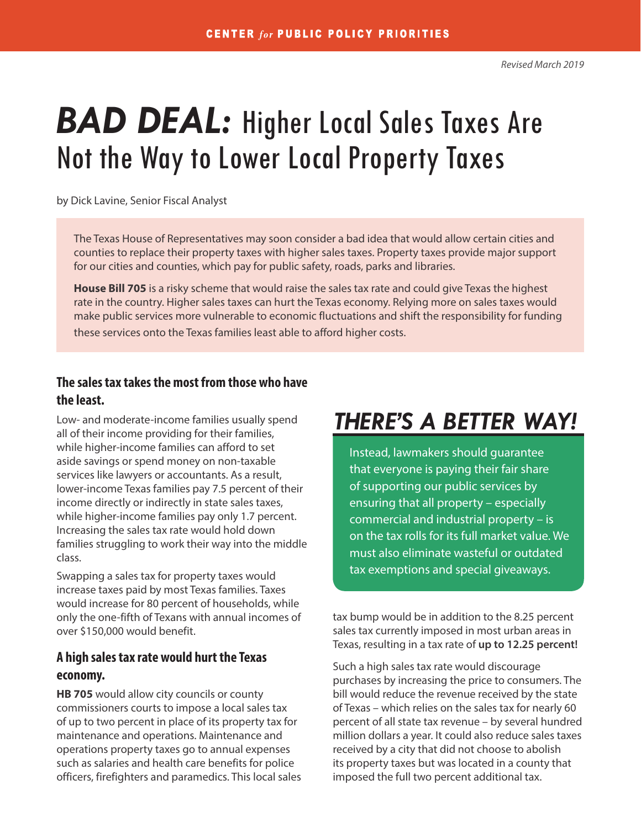# *BAD DEAL:* Higher Local Sales Taxes Are Not the Way to Lower Local Property Taxes

by Dick Lavine, Senior Fiscal Analyst

The Texas House of Representatives may soon consider a bad idea that would allow certain cities and counties to replace their property taxes with higher sales taxes. Property taxes provide major support for our cities and counties, which pay for public safety, roads, parks and libraries.

**House Bill 705** is a risky scheme that would raise the sales tax rate and could give Texas the highest rate in the country. Higher sales taxes can hurt the Texas economy. Relying more on sales taxes would make public services more vulnerable to economic fluctuations and shift the responsibility for funding these services onto the Texas families least able to afford higher costs.

### **The sales tax takes the most from those who have the least.**

Low- and moderate-income families usually spend all of their income providing for their families, while higher-income families can afford to set aside savings or spend money on non-taxable services like lawyers or accountants. As a result, lower-income Texas families pay 7.5 percent of their income directly or indirectly in state sales taxes, while higher-income families pay only 1.7 percent. Increasing the sales tax rate would hold down families struggling to work their way into the middle class.

Swapping a sales tax for property taxes would increase taxes paid by most Texas families. Taxes would increase for 80 percent of households, while only the one-fifth of Texans with annual incomes of over \$150,000 would benefit.

### **A high sales tax rate would hurt the Texas economy.**

**HB 705** would allow city councils or county commissioners courts to impose a local sales tax of up to two percent in place of its property tax for maintenance and operations. Maintenance and operations property taxes go to annual expenses such as salaries and health care benefits for police officers, firefighters and paramedics. This local sales

# *THERE'S A BETTER WAY!*

Instead, lawmakers should guarantee that everyone is paying their fair share of supporting our public services by ensuring that all property – especially commercial and industrial property – is on the tax rolls for its full market value. We must also eliminate wasteful or outdated tax exemptions and special giveaways.

tax bump would be in addition to the 8.25 percent sales tax currently imposed in most urban areas in Texas, resulting in a tax rate of **up to 12.25 percent!**

Such a high sales tax rate would discourage purchases by increasing the price to consumers. The bill would reduce the revenue received by the state of Texas – which relies on the sales tax for nearly 60 percent of all state tax revenue – by several hundred million dollars a year. It could also reduce sales taxes received by a city that did not choose to abolish its property taxes but was located in a county that imposed the full two percent additional tax.